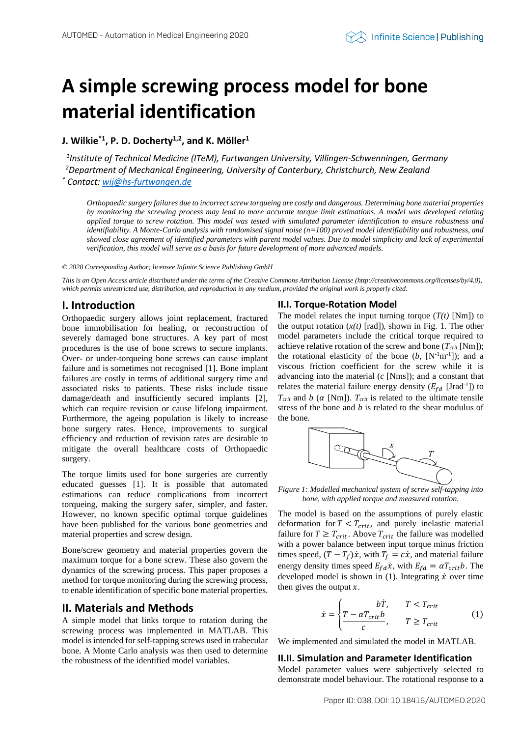# **A simple screwing process model for bone material identification**

**J. Wilkie\*1 , P. D. Docherty1,2, and K. Möller<sup>1</sup>**

*1 Institute of Technical Medicine (ITeM), Furtwangen University, Villingen-Schwenningen, Germany <sup>2</sup>Department of Mechanical Engineering, University of Canterbury, Christchurch, New Zealand \* Contact: [wij@hs-furtwangen.de](mailto:wij@hs-furtwangen.de)*

*Orthopaedic surgery failures due to incorrect screw torqueing are costly and dangerous. Determining bone material properties by monitoring the screwing process may lead to more accurate torque limit estimations. A model was developed relating applied torque to screw rotation. This model was tested with simulated parameter identification to ensure robustness and identifiability. A Monte-Carlo analysis with randomised signal noise (n=100) proved model identifiability and robustness, and showed close agreement of identified parameters with parent model values. Due to model simplicity and lack of experimental verification, this model will serve as a basis for future development of more advanced models.* 

*© 2020 Corresponding Author; licensee Infinite Science Publishing GmbH*

*This is an Open Access article distributed under the terms of the Creative Commons Attribution License (http://creativecommons.org/licenses/by/4.0),* which permits unrestricted use, distribution, and reproduction in any medium, provided the original work is properly cited.

## **I. Introduction**

Orthopaedic surgery allows joint replacement, fractured bone immobilisation for healing, or reconstruction of severely damaged bone structures. A key part of most procedures is the use of bone screws to secure implants. Over- or under-torqueing bone screws can cause implant failure and is sometimes not recognised [1]. Bone implant failures are costly in terms of additional surgery time and associated risks to patients. These risks include tissue damage/death and insufficiently secured implants [2], which can require revision or cause lifelong impairment. Furthermore, the ageing population is likely to increase bone surgery rates. Hence, improvements to surgical efficiency and reduction of revision rates are desirable to mitigate the overall healthcare costs of Orthopaedic surgery.

The torque limits used for bone surgeries are currently educated guesses [1]. It is possible that automated estimations can reduce complications from incorrect torqueing, making the surgery safer, simpler, and faster. However, no known specific optimal torque guidelines have been published for the various bone geometries and material properties and screw design.

Bone/screw geometry and material properties govern the maximum torque for a bone screw. These also govern the dynamics of the screwing process. This paper proposes a method for torque monitoring during the screwing process, to enable identification of specific bone material properties.

## **II. Materials and Methods**

A simple model that links torque to rotation during the screwing process was implemented in MATLAB. This model is intended for self-tapping screws used in trabecular bone. A Monte Carlo analysis was then used to determine the robustness of the identified model variables.

### **II.I. Torque-Rotation Model**

The model relates the input turning torque  $(T(t)$  [Nm]) to the output rotation  $(x(t)$  [rad]), shown in Fig. 1. The other model parameters include the critical torque required to achieve relative rotation of the screw and bone  $(T_{crit} \text{[Nm]})$ ; the rotational elasticity of the bone  $(b, [N^{-1}m^{-1}])$ ; and a viscous friction coefficient for the screw while it is advancing into the material (*c* [Nms]); and a constant that relates the material failure energy density  $(E_{fd}$  [Jrad<sup>-1</sup>]) to  $T_{crit}$  and *b* ( $\alpha$  [Nm]).  $T_{crit}$  is related to the ultimate tensile stress of the bone and *b* is related to the shear modulus of the bone.



*Figure 1: Modelled mechanical system of screw self-tapping into bone, with applied torque and measured rotation.*

The model is based on the assumptions of purely elastic deformation for  $T < T_{crit}$ , and purely inelastic material failure for  $T \geq T_{crit}$ . Above  $T_{crit}$  the failure was modelled with a power balance between input torque minus friction times speed,  $(T - T_f)\dot{x}$ , with  $T_f = c\dot{x}$ , and material failure energy density times speed  $E_{fd} \dot{x}$ , with  $E_{fd} = \alpha T_{crit} b$ . The developed model is shown in (1). Integrating  $\dot{x}$  over time then gives the output  $x$ .

$$
\dot{x} = \begin{cases}\n & b\dot{T}, & T < T_{crit} \\
\frac{T - \alpha T_{crit}b}{c}, & T \ge T_{crit}\n\end{cases}
$$
\n(1)

We implemented and simulated the model in MATLAB.

# **II.II. Simulation and Parameter Identification**

Model parameter values were subjectively selected to demonstrate model behaviour. The rotational response to a